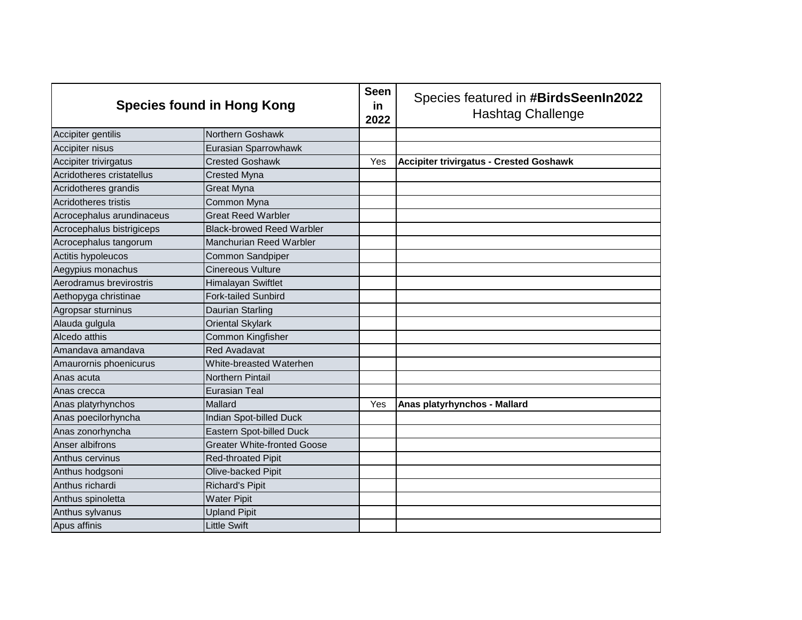| <b>Species found in Hong Kong</b> |                                    | <b>Seen</b><br>in<br>2022 | Species featured in #BirdsSeenIn2022<br><b>Hashtag Challenge</b> |
|-----------------------------------|------------------------------------|---------------------------|------------------------------------------------------------------|
| Accipiter gentilis                | Northern Goshawk                   |                           |                                                                  |
| Accipiter nisus                   | Eurasian Sparrowhawk               |                           |                                                                  |
| Accipiter trivirgatus             | <b>Crested Goshawk</b>             | Yes                       | <b>Accipiter trivirgatus - Crested Goshawk</b>                   |
| Acridotheres cristatellus         | <b>Crested Myna</b>                |                           |                                                                  |
| Acridotheres grandis              | <b>Great Myna</b>                  |                           |                                                                  |
| Acridotheres tristis              | Common Myna                        |                           |                                                                  |
| Acrocephalus arundinaceus         | <b>Great Reed Warbler</b>          |                           |                                                                  |
| Acrocephalus bistrigiceps         | <b>Black-browed Reed Warbler</b>   |                           |                                                                  |
| Acrocephalus tangorum             | Manchurian Reed Warbler            |                           |                                                                  |
| Actitis hypoleucos                | Common Sandpiper                   |                           |                                                                  |
| Aegypius monachus                 | <b>Cinereous Vulture</b>           |                           |                                                                  |
| Aerodramus brevirostris           | Himalayan Swiftlet                 |                           |                                                                  |
| Aethopyga christinae              | <b>Fork-tailed Sunbird</b>         |                           |                                                                  |
| Agropsar sturninus                | Daurian Starling                   |                           |                                                                  |
| Alauda gulgula                    | <b>Oriental Skylark</b>            |                           |                                                                  |
| Alcedo atthis                     | Common Kingfisher                  |                           |                                                                  |
| Amandava amandava                 | <b>Red Avadavat</b>                |                           |                                                                  |
| Amaurornis phoenicurus            | White-breasted Waterhen            |                           |                                                                  |
| Anas acuta                        | <b>Northern Pintail</b>            |                           |                                                                  |
| Anas crecca                       | <b>Eurasian Teal</b>               |                           |                                                                  |
| Anas platyrhynchos                | Mallard                            | Yes                       | Anas platyrhynchos - Mallard                                     |
| Anas poecilorhyncha               | Indian Spot-billed Duck            |                           |                                                                  |
| Anas zonorhyncha                  | Eastern Spot-billed Duck           |                           |                                                                  |
| Anser albifrons                   | <b>Greater White-fronted Goose</b> |                           |                                                                  |
| Anthus cervinus                   | <b>Red-throated Pipit</b>          |                           |                                                                  |
| Anthus hodgsoni                   | Olive-backed Pipit                 |                           |                                                                  |
| Anthus richardi                   | <b>Richard's Pipit</b>             |                           |                                                                  |
| Anthus spinoletta                 | <b>Water Pipit</b>                 |                           |                                                                  |
| Anthus sylvanus                   | <b>Upland Pipit</b>                |                           |                                                                  |
| Apus affinis                      | <b>Little Swift</b>                |                           |                                                                  |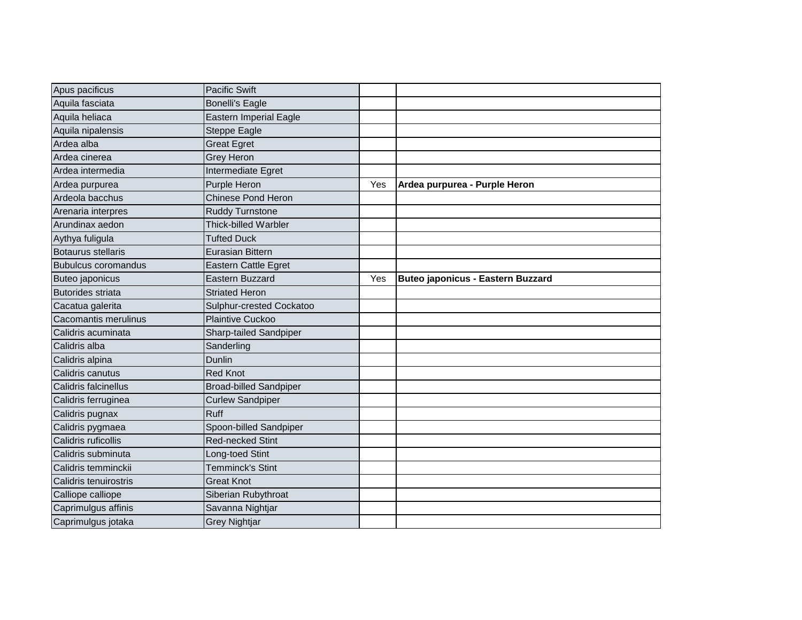| Apus pacificus             | <b>Pacific Swift</b>          |     |                                          |
|----------------------------|-------------------------------|-----|------------------------------------------|
| Aquila fasciata            | <b>Bonelli's Eagle</b>        |     |                                          |
| Aquila heliaca             | <b>Eastern Imperial Eagle</b> |     |                                          |
| Aquila nipalensis          | <b>Steppe Eagle</b>           |     |                                          |
| Ardea alba                 | <b>Great Egret</b>            |     |                                          |
| Ardea cinerea              | <b>Grey Heron</b>             |     |                                          |
| Ardea intermedia           | Intermediate Egret            |     |                                          |
| Ardea purpurea             | Purple Heron                  | Yes | Ardea purpurea - Purple Heron            |
| Ardeola bacchus            | Chinese Pond Heron            |     |                                          |
| Arenaria interpres         | <b>Ruddy Turnstone</b>        |     |                                          |
| Arundinax aedon            | <b>Thick-billed Warbler</b>   |     |                                          |
| Aythya fuligula            | <b>Tufted Duck</b>            |     |                                          |
| <b>Botaurus stellaris</b>  | Eurasian Bittern              |     |                                          |
| <b>Bubulcus coromandus</b> | <b>Eastern Cattle Egret</b>   |     |                                          |
| Buteo japonicus            | Eastern Buzzard               | Yes | <b>Buteo japonicus - Eastern Buzzard</b> |
| <b>Butorides striata</b>   | <b>Striated Heron</b>         |     |                                          |
| Cacatua galerita           | Sulphur-crested Cockatoo      |     |                                          |
| Cacomantis merulinus       | <b>Plaintive Cuckoo</b>       |     |                                          |
| Calidris acuminata         | Sharp-tailed Sandpiper        |     |                                          |
| Calidris alba              | Sanderling                    |     |                                          |
| Calidris alpina            | Dunlin                        |     |                                          |
| Calidris canutus           | <b>Red Knot</b>               |     |                                          |
| Calidris falcinellus       | <b>Broad-billed Sandpiper</b> |     |                                          |
| Calidris ferruginea        | <b>Curlew Sandpiper</b>       |     |                                          |
| Calidris pugnax            | Ruff                          |     |                                          |
| Calidris pygmaea           | Spoon-billed Sandpiper        |     |                                          |
| Calidris ruficollis        | <b>Red-necked Stint</b>       |     |                                          |
| Calidris subminuta         | Long-toed Stint               |     |                                          |
| Calidris temminckii        | <b>Temminck's Stint</b>       |     |                                          |
| Calidris tenuirostris      | <b>Great Knot</b>             |     |                                          |
| Calliope calliope          | Siberian Rubythroat           |     |                                          |
| Caprimulgus affinis        | Savanna Nightjar              |     |                                          |
| Caprimulgus jotaka         | <b>Grey Nightjar</b>          |     |                                          |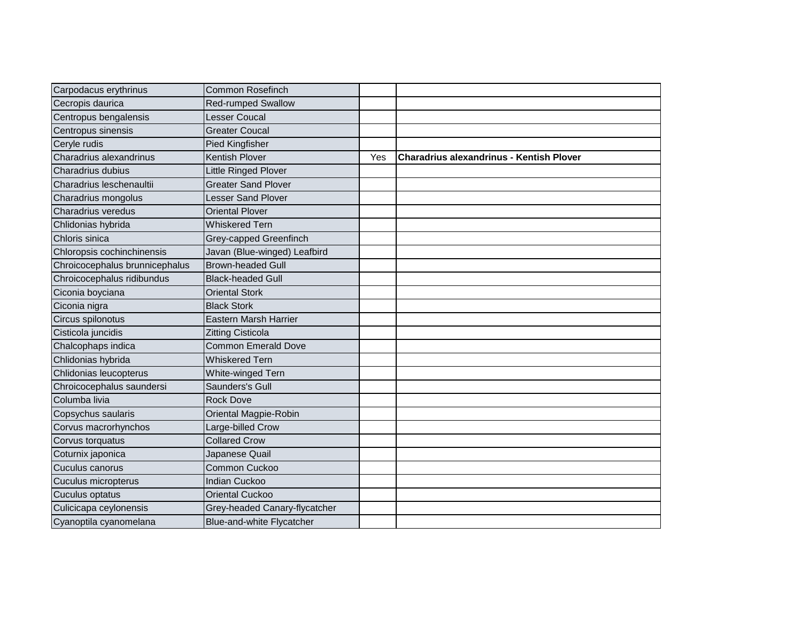| Carpodacus erythrinus          | <b>Common Rosefinch</b>       |     |                                                 |
|--------------------------------|-------------------------------|-----|-------------------------------------------------|
| Cecropis daurica               | <b>Red-rumped Swallow</b>     |     |                                                 |
| Centropus bengalensis          | <b>Lesser Coucal</b>          |     |                                                 |
| Centropus sinensis             | <b>Greater Coucal</b>         |     |                                                 |
| Ceryle rudis                   | <b>Pied Kingfisher</b>        |     |                                                 |
| Charadrius alexandrinus        | <b>Kentish Plover</b>         | Yes | <b>Charadrius alexandrinus - Kentish Plover</b> |
| Charadrius dubius              | <b>Little Ringed Plover</b>   |     |                                                 |
| Charadrius leschenaultii       | <b>Greater Sand Plover</b>    |     |                                                 |
| Charadrius mongolus            | <b>Lesser Sand Plover</b>     |     |                                                 |
| Charadrius veredus             | <b>Oriental Plover</b>        |     |                                                 |
| Chlidonias hybrida             | <b>Whiskered Tern</b>         |     |                                                 |
| Chloris sinica                 | Grey-capped Greenfinch        |     |                                                 |
| Chloropsis cochinchinensis     | Javan (Blue-winged) Leafbird  |     |                                                 |
| Chroicocephalus brunnicephalus | <b>Brown-headed Gull</b>      |     |                                                 |
| Chroicocephalus ridibundus     | <b>Black-headed Gull</b>      |     |                                                 |
| Ciconia boyciana               | <b>Oriental Stork</b>         |     |                                                 |
| Ciconia nigra                  | <b>Black Stork</b>            |     |                                                 |
| Circus spilonotus              | <b>Eastern Marsh Harrier</b>  |     |                                                 |
| Cisticola juncidis             | <b>Zitting Cisticola</b>      |     |                                                 |
| Chalcophaps indica             | <b>Common Emerald Dove</b>    |     |                                                 |
| Chlidonias hybrida             | <b>Whiskered Tern</b>         |     |                                                 |
| Chlidonias leucopterus         | White-winged Tern             |     |                                                 |
| Chroicocephalus saundersi      | Saunders's Gull               |     |                                                 |
| Columba livia                  | <b>Rock Dove</b>              |     |                                                 |
| Copsychus saularis             | Oriental Magpie-Robin         |     |                                                 |
| Corvus macrorhynchos           | Large-billed Crow             |     |                                                 |
| Corvus torquatus               | <b>Collared Crow</b>          |     |                                                 |
| Coturnix japonica              | Japanese Quail                |     |                                                 |
| Cuculus canorus                | Common Cuckoo                 |     |                                                 |
| Cuculus micropterus            | <b>Indian Cuckoo</b>          |     |                                                 |
| Cuculus optatus                | <b>Oriental Cuckoo</b>        |     |                                                 |
| Culicicapa ceylonensis         | Grey-headed Canary-flycatcher |     |                                                 |
| Cyanoptila cyanomelana         | Blue-and-white Flycatcher     |     |                                                 |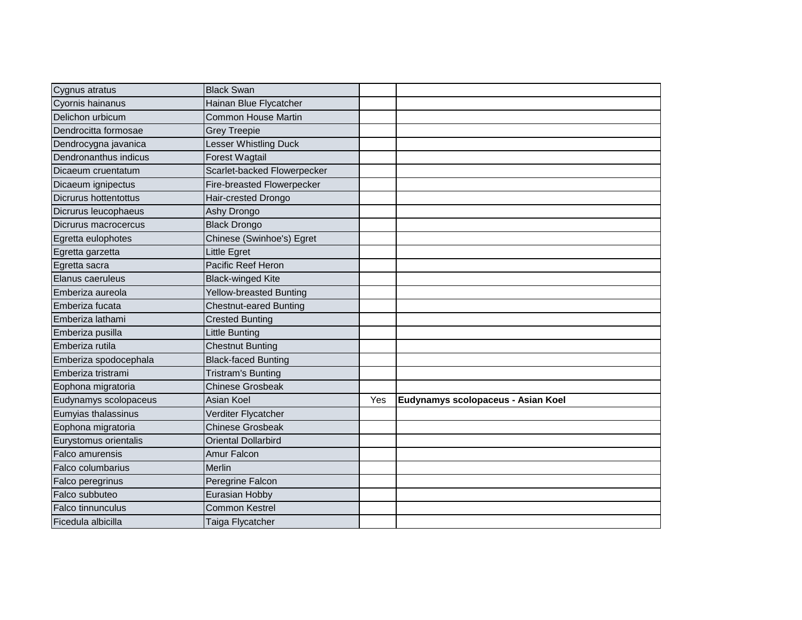| Cygnus atratus           | <b>Black Swan</b>                 |     |                                    |
|--------------------------|-----------------------------------|-----|------------------------------------|
| Cyornis hainanus         | Hainan Blue Flycatcher            |     |                                    |
| Delichon urbicum         | <b>Common House Martin</b>        |     |                                    |
| Dendrocitta formosae     | <b>Grey Treepie</b>               |     |                                    |
| Dendrocygna javanica     | Lesser Whistling Duck             |     |                                    |
| Dendronanthus indicus    | <b>Forest Wagtail</b>             |     |                                    |
| Dicaeum cruentatum       | Scarlet-backed Flowerpecker       |     |                                    |
| Dicaeum ignipectus       | <b>Fire-breasted Flowerpecker</b> |     |                                    |
| Dicrurus hottentottus    | Hair-crested Drongo               |     |                                    |
| Dicrurus leucophaeus     | Ashy Drongo                       |     |                                    |
| Dicrurus macrocercus     | <b>Black Drongo</b>               |     |                                    |
| Egretta eulophotes       | Chinese (Swinhoe's) Egret         |     |                                    |
| Egretta garzetta         | Little Egret                      |     |                                    |
| Egretta sacra            | Pacific Reef Heron                |     |                                    |
| Elanus caeruleus         | <b>Black-winged Kite</b>          |     |                                    |
| Emberiza aureola         | Yellow-breasted Bunting           |     |                                    |
| Emberiza fucata          | <b>Chestnut-eared Bunting</b>     |     |                                    |
| Emberiza lathami         | <b>Crested Bunting</b>            |     |                                    |
| Emberiza pusilla         | Little Bunting                    |     |                                    |
| Emberiza rutila          | <b>Chestnut Bunting</b>           |     |                                    |
| Emberiza spodocephala    | <b>Black-faced Bunting</b>        |     |                                    |
| Emberiza tristrami       | <b>Tristram's Bunting</b>         |     |                                    |
| Eophona migratoria       | <b>Chinese Grosbeak</b>           |     |                                    |
| Eudynamys scolopaceus    | Asian Koel                        | Yes | Eudynamys scolopaceus - Asian Koel |
| Eumyias thalassinus      | Verditer Flycatcher               |     |                                    |
| Eophona migratoria       | <b>Chinese Grosbeak</b>           |     |                                    |
| Eurystomus orientalis    | <b>Oriental Dollarbird</b>        |     |                                    |
| Falco amurensis          | Amur Falcon                       |     |                                    |
| Falco columbarius        | Merlin                            |     |                                    |
| Falco peregrinus         | Peregrine Falcon                  |     |                                    |
| Falco subbuteo           | Eurasian Hobby                    |     |                                    |
| <b>Falco tinnunculus</b> | <b>Common Kestrel</b>             |     |                                    |
| Ficedula albicilla       | Taiga Flycatcher                  |     |                                    |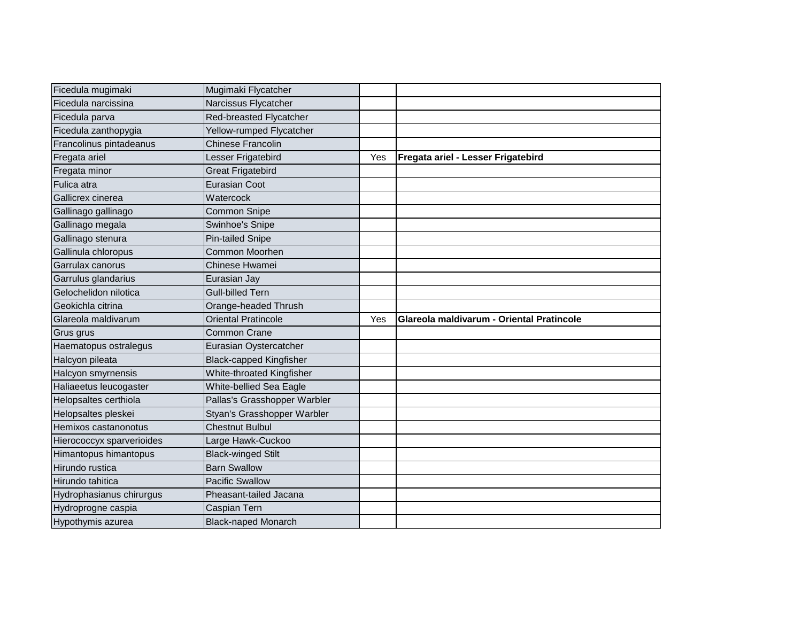| Ficedula mugimaki         | Mugimaki Flycatcher            |     |                                           |
|---------------------------|--------------------------------|-----|-------------------------------------------|
| Ficedula narcissina       | Narcissus Flycatcher           |     |                                           |
| Ficedula parva            | Red-breasted Flycatcher        |     |                                           |
| Ficedula zanthopygia      | Yellow-rumped Flycatcher       |     |                                           |
| Francolinus pintadeanus   | <b>Chinese Francolin</b>       |     |                                           |
| Fregata ariel             | Lesser Frigatebird             | Yes | Fregata ariel - Lesser Frigatebird        |
| Fregata minor             | <b>Great Frigatebird</b>       |     |                                           |
| Fulica atra               | <b>Eurasian Coot</b>           |     |                                           |
| Gallicrex cinerea         | Watercock                      |     |                                           |
| Gallinago gallinago       | <b>Common Snipe</b>            |     |                                           |
| Gallinago megala          | Swinhoe's Snipe                |     |                                           |
| Gallinago stenura         | <b>Pin-tailed Snipe</b>        |     |                                           |
| Gallinula chloropus       | Common Moorhen                 |     |                                           |
| Garrulax canorus          | Chinese Hwamei                 |     |                                           |
| Garrulus glandarius       | Eurasian Jay                   |     |                                           |
| Gelochelidon nilotica     | <b>Gull-billed Tern</b>        |     |                                           |
| Geokichla citrina         | Orange-headed Thrush           |     |                                           |
| Glareola maldivarum       | <b>Oriental Pratincole</b>     | Yes | Glareola maldivarum - Oriental Pratincole |
| Grus grus                 | <b>Common Crane</b>            |     |                                           |
| Haematopus ostralegus     | Eurasian Oystercatcher         |     |                                           |
| Halcyon pileata           | <b>Black-capped Kingfisher</b> |     |                                           |
| Halcyon smyrnensis        | White-throated Kingfisher      |     |                                           |
| Haliaeetus leucogaster    | White-bellied Sea Eagle        |     |                                           |
| Helopsaltes certhiola     | Pallas's Grasshopper Warbler   |     |                                           |
| Helopsaltes pleskei       | Styan's Grasshopper Warbler    |     |                                           |
| Hemixos castanonotus      | <b>Chestnut Bulbul</b>         |     |                                           |
| Hierococcyx sparverioides | Large Hawk-Cuckoo              |     |                                           |
| Himantopus himantopus     | <b>Black-winged Stilt</b>      |     |                                           |
| Hirundo rustica           | <b>Barn Swallow</b>            |     |                                           |
| Hirundo tahitica          | <b>Pacific Swallow</b>         |     |                                           |
| Hydrophasianus chirurgus  | Pheasant-tailed Jacana         |     |                                           |
| Hydroprogne caspia        | Caspian Tern                   |     |                                           |
|                           |                                |     |                                           |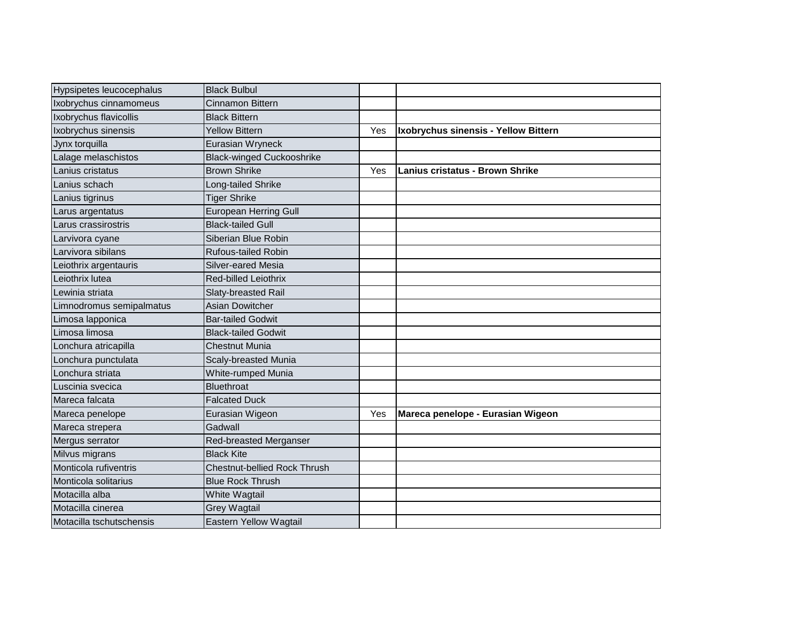| Hypsipetes leucocephalus | <b>Black Bulbul</b>                 |     |                                        |
|--------------------------|-------------------------------------|-----|----------------------------------------|
| Ixobrychus cinnamomeus   | <b>Cinnamon Bittern</b>             |     |                                        |
| Ixobrychus flavicollis   | <b>Black Bittern</b>                |     |                                        |
| Ixobrychus sinensis      | <b>Yellow Bittern</b>               | Yes | Ixobrychus sinensis - Yellow Bittern   |
| Jynx torquilla           | Eurasian Wryneck                    |     |                                        |
| Lalage melaschistos      | <b>Black-winged Cuckooshrike</b>    |     |                                        |
| Lanius cristatus         | <b>Brown Shrike</b>                 | Yes | <b>Lanius cristatus - Brown Shrike</b> |
| Lanius schach            | Long-tailed Shrike                  |     |                                        |
| Lanius tigrinus          | <b>Tiger Shrike</b>                 |     |                                        |
| Larus argentatus         | European Herring Gull               |     |                                        |
| Larus crassirostris      | <b>Black-tailed Gull</b>            |     |                                        |
| Larvivora cyane          | Siberian Blue Robin                 |     |                                        |
| Larvivora sibilans       | <b>Rufous-tailed Robin</b>          |     |                                        |
| Leiothrix argentauris    | Silver-eared Mesia                  |     |                                        |
| Leiothrix lutea          | Red-billed Leiothrix                |     |                                        |
| Lewinia striata          | Slaty-breasted Rail                 |     |                                        |
| Limnodromus semipalmatus | <b>Asian Dowitcher</b>              |     |                                        |
| Limosa lapponica         | <b>Bar-tailed Godwit</b>            |     |                                        |
| Limosa limosa            | <b>Black-tailed Godwit</b>          |     |                                        |
| Lonchura atricapilla     | <b>Chestnut Munia</b>               |     |                                        |
| Lonchura punctulata      | <b>Scaly-breasted Munia</b>         |     |                                        |
| Lonchura striata         | White-rumped Munia                  |     |                                        |
| Luscinia svecica         | <b>Bluethroat</b>                   |     |                                        |
| Mareca falcata           | <b>Falcated Duck</b>                |     |                                        |
| Mareca penelope          | Eurasian Wigeon                     | Yes | Mareca penelope - Eurasian Wigeon      |
| Mareca strepera          | Gadwall                             |     |                                        |
| Mergus serrator          | Red-breasted Merganser              |     |                                        |
| Milvus migrans           | <b>Black Kite</b>                   |     |                                        |
| Monticola rufiventris    | <b>Chestnut-bellied Rock Thrush</b> |     |                                        |
| Monticola solitarius     | <b>Blue Rock Thrush</b>             |     |                                        |
| Motacilla alba           | White Wagtail                       |     |                                        |
| Motacilla cinerea        | <b>Grey Wagtail</b>                 |     |                                        |
| Motacilla tschutschensis | Eastern Yellow Wagtail              |     |                                        |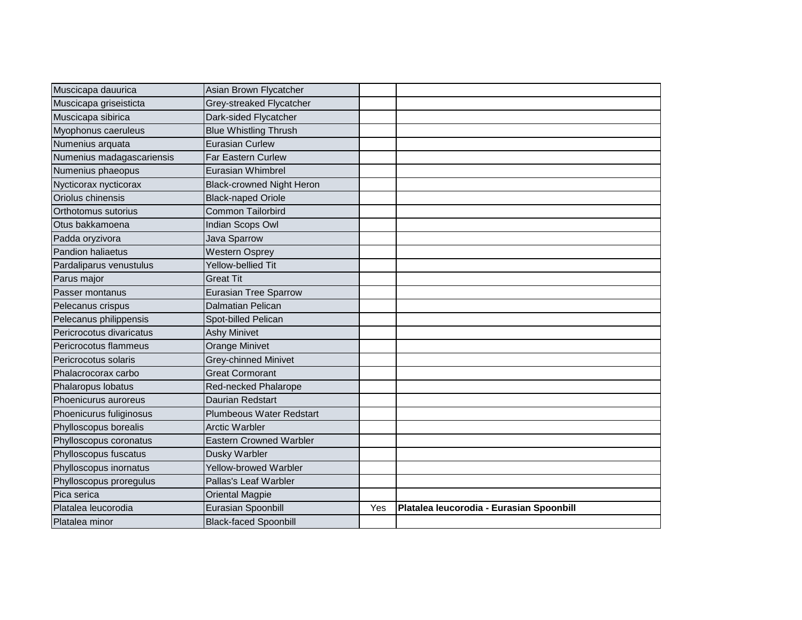| Muscicapa dauurica        | Asian Brown Flycatcher           |     |                                          |
|---------------------------|----------------------------------|-----|------------------------------------------|
| Muscicapa griseisticta    | Grey-streaked Flycatcher         |     |                                          |
| Muscicapa sibirica        | Dark-sided Flycatcher            |     |                                          |
| Myophonus caeruleus       | <b>Blue Whistling Thrush</b>     |     |                                          |
| Numenius arquata          | <b>Eurasian Curlew</b>           |     |                                          |
| Numenius madagascariensis | <b>Far Eastern Curlew</b>        |     |                                          |
| Numenius phaeopus         | Eurasian Whimbrel                |     |                                          |
| Nycticorax nycticorax     | <b>Black-crowned Night Heron</b> |     |                                          |
| Oriolus chinensis         | <b>Black-naped Oriole</b>        |     |                                          |
| Orthotomus sutorius       | <b>Common Tailorbird</b>         |     |                                          |
| Otus bakkamoena           | Indian Scops Owl                 |     |                                          |
| Padda oryzivora           | Java Sparrow                     |     |                                          |
| Pandion haliaetus         | <b>Western Osprey</b>            |     |                                          |
| Pardaliparus venustulus   | Yellow-bellied Tit               |     |                                          |
| Parus major               | <b>Great Tit</b>                 |     |                                          |
| Passer montanus           | <b>Eurasian Tree Sparrow</b>     |     |                                          |
| Pelecanus crispus         | Dalmatian Pelican                |     |                                          |
| Pelecanus philippensis    | Spot-billed Pelican              |     |                                          |
| Pericrocotus divaricatus  | <b>Ashy Minivet</b>              |     |                                          |
| Pericrocotus flammeus     | <b>Orange Minivet</b>            |     |                                          |
| Pericrocotus solaris      | Grey-chinned Minivet             |     |                                          |
| Phalacrocorax carbo       | <b>Great Cormorant</b>           |     |                                          |
| Phalaropus lobatus        | Red-necked Phalarope             |     |                                          |
| Phoenicurus auroreus      | Daurian Redstart                 |     |                                          |
| Phoenicurus fuliginosus   | <b>Plumbeous Water Redstart</b>  |     |                                          |
| Phylloscopus borealis     | <b>Arctic Warbler</b>            |     |                                          |
| Phylloscopus coronatus    | <b>Eastern Crowned Warbler</b>   |     |                                          |
| Phylloscopus fuscatus     | Dusky Warbler                    |     |                                          |
| Phylloscopus inornatus    | Yellow-browed Warbler            |     |                                          |
| Phylloscopus proregulus   | Pallas's Leaf Warbler            |     |                                          |
| Pica serica               | <b>Oriental Magpie</b>           |     |                                          |
| Platalea leucorodia       | Eurasian Spoonbill               | Yes | Platalea leucorodia - Eurasian Spoonbill |
| Platalea minor            | <b>Black-faced Spoonbill</b>     |     |                                          |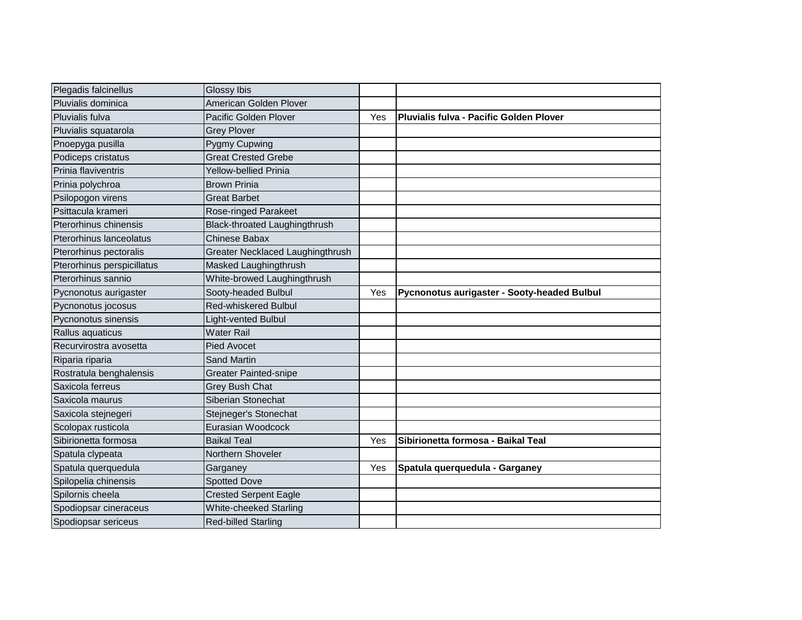| Plegadis falcinellus           | <b>Glossy Ibis</b>               |     |                                             |
|--------------------------------|----------------------------------|-----|---------------------------------------------|
| Pluvialis dominica             | American Golden Plover           |     |                                             |
| Pluvialis fulva                | Pacific Golden Plover            | Yes | Pluvialis fulva - Pacific Golden Plover     |
| Pluvialis squatarola           | <b>Grey Plover</b>               |     |                                             |
| Pnoepyga pusilla               | Pygmy Cupwing                    |     |                                             |
| Podiceps cristatus             | <b>Great Crested Grebe</b>       |     |                                             |
| Prinia flaviventris            | <b>Yellow-bellied Prinia</b>     |     |                                             |
| Prinia polychroa               | <b>Brown Prinia</b>              |     |                                             |
| Psilopogon virens              | <b>Great Barbet</b>              |     |                                             |
| Psittacula krameri             | <b>Rose-ringed Parakeet</b>      |     |                                             |
| Pterorhinus chinensis          | Black-throated Laughingthrush    |     |                                             |
| <b>Pterorhinus lanceolatus</b> | Chinese Babax                    |     |                                             |
| Pterorhinus pectoralis         | Greater Necklaced Laughingthrush |     |                                             |
| Pterorhinus perspicillatus     | Masked Laughingthrush            |     |                                             |
| Pterorhinus sannio             | White-browed Laughingthrush      |     |                                             |
| Pycnonotus aurigaster          | Sooty-headed Bulbul              | Yes | Pycnonotus aurigaster - Sooty-headed Bulbul |
| Pycnonotus jocosus             | Red-whiskered Bulbul             |     |                                             |
| Pycnonotus sinensis            | Light-vented Bulbul              |     |                                             |
| Rallus aquaticus               | <b>Water Rail</b>                |     |                                             |
| Recurvirostra avosetta         | <b>Pied Avocet</b>               |     |                                             |
| Riparia riparia                | <b>Sand Martin</b>               |     |                                             |
| Rostratula benghalensis        | <b>Greater Painted-snipe</b>     |     |                                             |
| Saxicola ferreus               | <b>Grey Bush Chat</b>            |     |                                             |
| Saxicola maurus                | Siberian Stonechat               |     |                                             |
| Saxicola stejnegeri            | Stejneger's Stonechat            |     |                                             |
| Scolopax rusticola             | Eurasian Woodcock                |     |                                             |
| Sibirionetta formosa           | <b>Baikal Teal</b>               | Yes | Sibirionetta formosa - Baikal Teal          |
| Spatula clypeata               | Northern Shoveler                |     |                                             |
| Spatula querquedula            | Garganey                         | Yes | Spatula querquedula - Garganey              |
| Spilopelia chinensis           | <b>Spotted Dove</b>              |     |                                             |
| Spilornis cheela               | <b>Crested Serpent Eagle</b>     |     |                                             |
| Spodiopsar cineraceus          | White-cheeked Starling           |     |                                             |
| Spodiopsar sericeus            | <b>Red-billed Starling</b>       |     |                                             |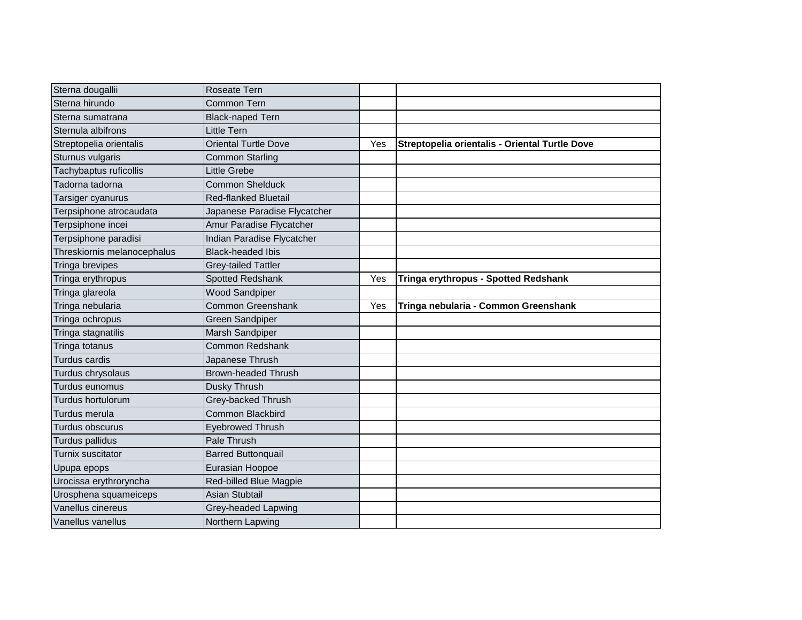| Sterna dougallii            | Roseate Tern                 |     |                                                |
|-----------------------------|------------------------------|-----|------------------------------------------------|
| Sterna hirundo              | Common Tern                  |     |                                                |
| Sterna sumatrana            | <b>Black-naped Tern</b>      |     |                                                |
| Sternula albifrons          | <b>Little Tern</b>           |     |                                                |
| Streptopelia orientalis     | <b>Oriental Turtle Dove</b>  | Yes | Streptopelia orientalis - Oriental Turtle Dove |
| Sturnus vulgaris            | <b>Common Starling</b>       |     |                                                |
| Tachybaptus ruficollis      | <b>Little Grebe</b>          |     |                                                |
| Tadorna tadorna             | <b>Common Shelduck</b>       |     |                                                |
| Tarsiger cyanurus           | <b>Red-flanked Bluetail</b>  |     |                                                |
| Terpsiphone atrocaudata     | Japanese Paradise Flycatcher |     |                                                |
| Terpsiphone incei           | Amur Paradise Flycatcher     |     |                                                |
| Terpsiphone paradisi        | Indian Paradise Flycatcher   |     |                                                |
| Threskiornis melanocephalus | <b>Black-headed Ibis</b>     |     |                                                |
| Tringa brevipes             | <b>Grey-tailed Tattler</b>   |     |                                                |
| Tringa erythropus           | Spotted Redshank             | Yes | Tringa erythropus - Spotted Redshank           |
| Tringa glareola             | <b>Wood Sandpiper</b>        |     |                                                |
| Tringa nebularia            | <b>Common Greenshank</b>     | Yes | Tringa nebularia - Common Greenshank           |
| Tringa ochropus             | Green Sandpiper              |     |                                                |
| Tringa stagnatilis          | Marsh Sandpiper              |     |                                                |
| Tringa totanus              | <b>Common Redshank</b>       |     |                                                |
| Turdus cardis               | Japanese Thrush              |     |                                                |
| Turdus chrysolaus           | <b>Brown-headed Thrush</b>   |     |                                                |
| Turdus eunomus              | Dusky Thrush                 |     |                                                |
| Turdus hortulorum           | Grey-backed Thrush           |     |                                                |
| Turdus merula               | Common Blackbird             |     |                                                |
| Turdus obscurus             | <b>Eyebrowed Thrush</b>      |     |                                                |
| Turdus pallidus             | Pale Thrush                  |     |                                                |
| Turnix suscitator           | <b>Barred Buttonquail</b>    |     |                                                |
| Upupa epops                 | Eurasian Hoopoe              |     |                                                |
| Urocissa erythroryncha      | Red-billed Blue Magpie       |     |                                                |
| Urosphena squameiceps       | <b>Asian Stubtail</b>        |     |                                                |
| Vanellus cinereus           | Grey-headed Lapwing          |     |                                                |
| Vanellus vanellus           | Northern Lapwing             |     |                                                |